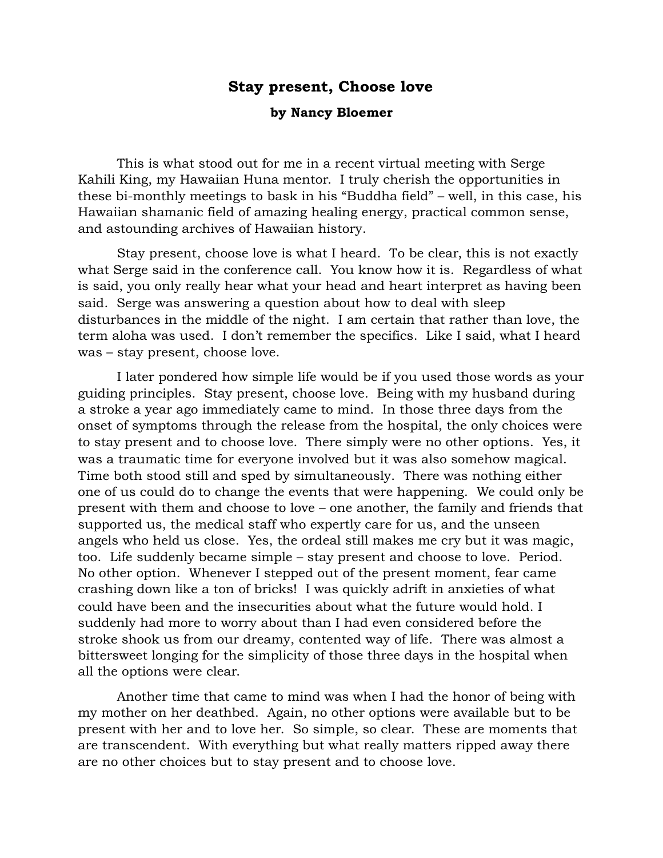## **Stay present, Choose love**

## **by Nancy Bloemer**

 This is what stood out for me in a recent virtual meeting with Serge Kahili King, my Hawaiian Huna mentor. I truly cherish the opportunities in these bi-monthly meetings to bask in his "Buddha field" – well, in this case, his Hawaiian shamanic field of amazing healing energy, practical common sense, and astounding archives of Hawaiian history.

 Stay present, choose love is what I heard. To be clear, this is not exactly what Serge said in the conference call. You know how it is. Regardless of what is said, you only really hear what your head and heart interpret as having been said. Serge was answering a question about how to deal with sleep disturbances in the middle of the night. I am certain that rather than love, the term aloha was used. I don't remember the specifics. Like I said, what I heard was – stay present, choose love.

 I later pondered how simple life would be if you used those words as your guiding principles. Stay present, choose love. Being with my husband during a stroke a year ago immediately came to mind. In those three days from the onset of symptoms through the release from the hospital, the only choices were to stay present and to choose love. There simply were no other options. Yes, it was a traumatic time for everyone involved but it was also somehow magical. Time both stood still and sped by simultaneously. There was nothing either one of us could do to change the events that were happening. We could only be present with them and choose to love – one another, the family and friends that supported us, the medical staff who expertly care for us, and the unseen angels who held us close. Yes, the ordeal still makes me cry but it was magic, too. Life suddenly became simple – stay present and choose to love. Period. No other option. Whenever I stepped out of the present moment, fear came crashing down like a ton of bricks! I was quickly adrift in anxieties of what could have been and the insecurities about what the future would hold. I suddenly had more to worry about than I had even considered before the stroke shook us from our dreamy, contented way of life. There was almost a bittersweet longing for the simplicity of those three days in the hospital when all the options were clear.

 Another time that came to mind was when I had the honor of being with my mother on her deathbed. Again, no other options were available but to be present with her and to love her. So simple, so clear. These are moments that are transcendent. With everything but what really matters ripped away there are no other choices but to stay present and to choose love.